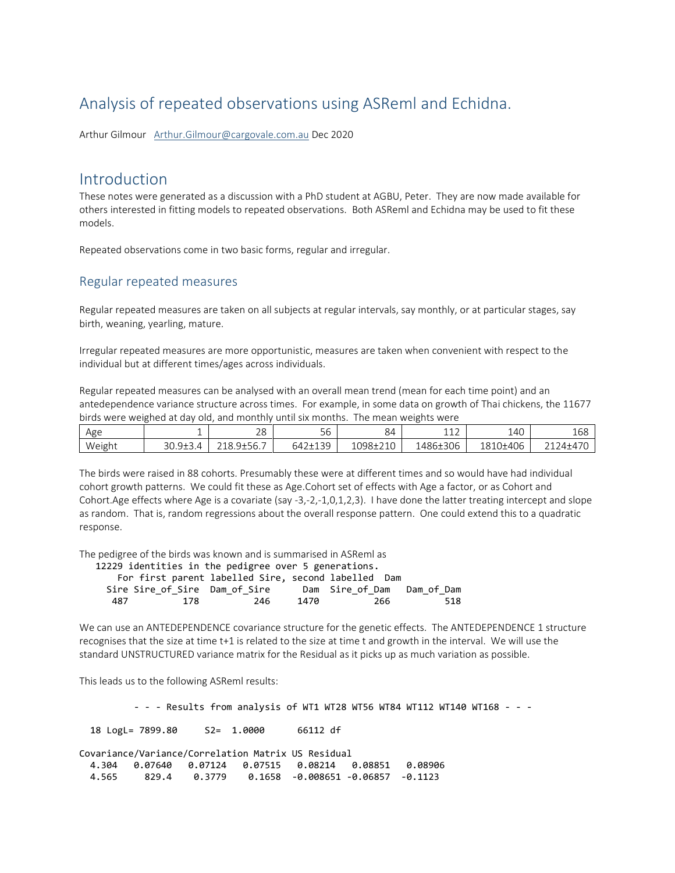## Analysis of repeated observations using ASReml and Echidna.

Arthur Gilmour [Arthur.Gilmour@cargovale.com.au](mailto:Arthur.Gilmour@cargovale.com.au) Dec 2020

## Introduction

These notes were generated as a discussion with a PhD student at AGBU, Peter. They are now made available for others interested in fitting models to repeated observations. Both ASReml and Echidna may be used to fit these models.

Repeated observations come in two basic forms, regular and irregular.

## Regular repeated measures

Regular repeated measures are taken on all subjects at regular intervals, say monthly, or at particular stages, say birth, weaning, yearling, mature.

Irregular repeated measures are more opportunistic, measures are taken when convenient with respect to the individual but at different times/ages across individuals.

Regular repeated measures can be analysed with an overall mean trend (mean for each time point) and an antedependence variance structure across times. For example, in some data on growth of Thai chickens, the 11677 birds were weighed at day old, and monthly until six months. The mean weights were

| Age    |                                            | 28                     | $\sim$ $\sim$<br>56                  | 84       | 112<br>ᅩᅩᄼ | .40<br>∸                   | $\sqrt{2}$<br>TDS                                      |
|--------|--------------------------------------------|------------------------|--------------------------------------|----------|------------|----------------------------|--------------------------------------------------------|
| Weight | $30.9{\pm}3.4$<br>$\overline{\phantom{a}}$ | $2100+EC$ 7<br>.Y±56., | $+120$<br>$\sim$ $\sim$<br>$h\Delta$ | 1098±210 | 1486±306   | <sup>1</sup> 1406<br>1810: | $.74 + 47$<br>$\sim$ $\sim$<br><del></del> ∠ ⊥ ∠ ┬ ∸ ֿ |

The birds were raised in 88 cohorts. Presumably these were at different times and so would have had individual cohort growth patterns. We could fit these as Age.Cohort set of effects with Age a factor, or as Cohort and Cohort.Age effects where Age is a covariate (say -3,-2,-1,0,1,2,3). I have done the latter treating intercept and slope as random. That is, random regressions about the overall response pattern. One could extend this to a quadratic response.

The pedigree of the birds was known and is summarised in ASReml as

|     |     | 12229 identities in the pedigree over 5 generations. |      |                            |     |
|-----|-----|------------------------------------------------------|------|----------------------------|-----|
|     |     | For first parent labelled Sire, second labelled Dam  |      |                            |     |
|     |     | Sire Sire of Sire Dam of Sire                        |      | Dam Sire of Dam Dam of Dam |     |
| 487 | 178 | 246                                                  | 1470 | 266                        | 518 |
|     |     |                                                      |      |                            |     |

We can use an ANTEDEPENDENCE covariance structure for the genetic effects. The ANTEDEPENDENCE 1 structure recognises that the size at time t+1 is related to the size at time t and growth in the interval. We will use the standard UNSTRUCTURED variance matrix for the Residual as it picks up as much variation as possible.

This leads us to the following ASReml results:

- - - Results from analysis of WT1 WT28 WT56 WT84 WT112 WT140 WT168 - - -

18 LogL= 7899.80 S2= 1.0000 66112 df

Covariance/Variance/Correlation Matrix US Residual 4.304 0.07640 0.07124 0.07515 0.08214 0.08851 0.08906 4.565 829.4 0.3779 0.1658 -0.008651 -0.06857 -0.1123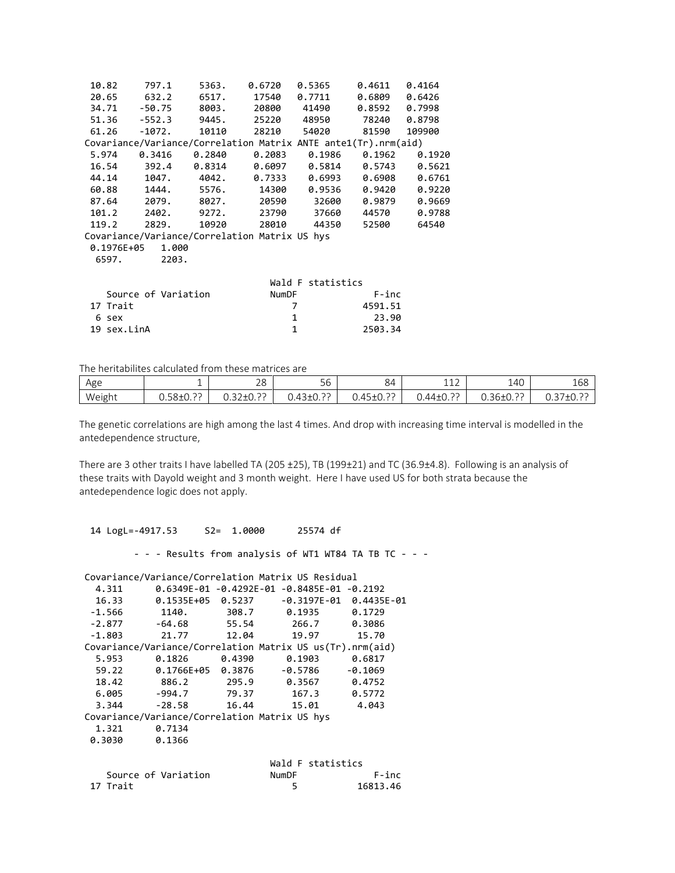|             | 10.82 797.1         | 5363.         |                                                                | $0.6720$ $0.5365$ $0.4611$ $0.4164$ |                   |               |
|-------------|---------------------|---------------|----------------------------------------------------------------|-------------------------------------|-------------------|---------------|
|             |                     |               | 20.65 632.2 6517. 17540 0.7711 0.6809 0.6426                   |                                     |                   |               |
|             | 34.71 -50.75        |               | 8003. 20800                                                    | 41490                               | $0.8592$ $0.7998$ |               |
|             |                     |               | 51.36 -552.3 9445. 25220                                       | 48950                               | 78240 0.8798      |               |
| 61.26       |                     |               | -1072. 10110 28210 54020                                       |                                     | 81590             | 109900        |
|             |                     |               | Covariance/Variance/Correlation Matrix ANTE ante1(Tr).nrm(aid) |                                     |                   |               |
| 5.974       |                     | 0.3416 0.2840 | 0.2083                                                         | 0.1986                              |                   | 0.1962 0.1920 |
|             |                     |               | 16.54 392.4 0.8314 0.6097 0.5814 0.5743 0.5621                 |                                     |                   |               |
|             |                     |               | 44.14 1047. 4042. 0.7333 0.6993 0.6908 0.6761                  |                                     |                   |               |
|             |                     |               | 60.88 1444. 5576. 14300 0.9536                                 |                                     | 0.9420            | 0.9220        |
|             |                     |               | 87.64 2079. 8027. 20590 32600                                  |                                     | 0.9879            | 0.9669        |
|             |                     |               | 101.2 2402. 9272. 23790 37660                                  |                                     | 44570             | 0.9788        |
|             | 119.2 2829.         |               | 10920 28010 44350                                              |                                     | 52500             | 64540         |
|             |                     |               | Covariance/Variance/Correlation Matrix US hys                  |                                     |                   |               |
|             | 0.1976E+05 1.000    |               |                                                                |                                     |                   |               |
|             | 2203.               |               |                                                                |                                     |                   |               |
|             |                     |               |                                                                |                                     |                   |               |
|             |                     |               |                                                                | Wald F statistics                   |                   |               |
|             | Source of Variation |               | NumDF                                                          |                                     | F-inc             |               |
| 17 Trait    |                     |               |                                                                | 7                                   | 4591.51           |               |
| 6 sex       |                     |               |                                                                | $\mathbf{1}$                        | 23.90             |               |
| 19 sex.LinA |                     |               |                                                                | $\mathbf{1}$                        | 2503.34           |               |

The heritabilites calculated from these matrices are

| Age    |                               | $\Omega$<br>20                   | $ -$<br>56                                                | 84                                | 112<br>⊥⊥∠                   | 140                                                   | $ -$<br>168              |
|--------|-------------------------------|----------------------------------|-----------------------------------------------------------|-----------------------------------|------------------------------|-------------------------------------------------------|--------------------------|
| Weight | $\sim$<br>$\sim$<br>U.58±U. ? | $\sim$<br>∩ ברב ∩<br>0.JZTU. : . | $\sim$<br>$\overline{\phantom{0}}$<br>$\sim$<br>.JLU. : : | .022<br>$\Lambda$<br>'±∪.:<br>. J | $\sim$<br>ັ ∧±44.∪<br>+±∪.:: | $\sim$ $\sim$<br>$\sim$ $\sim$<br>$\sim$<br>U.3b±U.ŕŕ | . 171022<br>LU. :<br>◡.◡ |

The genetic correlations are high among the last 4 times. And drop with increasing time interval is modelled in the antedependence structure,

There are 3 other traits I have labelled TA (205 ±25), TB (199±21) and TC (36.9±4.8). Following is an analysis of these traits with Dayold weight and 3 month weight. Here I have used US for both strata because the antedependence logic does not apply.

 14 LogL=-4917.53 S2= 1.0000 25574 df - - - Results from analysis of WT1 WT84 TA TB TC - - -Covariance/Variance/Correlation Matrix US Residual 4.311 0.6349E-01 -0.4292E-01 -0.8485E-01 -0.2192 16.33 0.1535E+05 0.5237 -0.3197E-01 0.4435E-01 -1.566 1140. 308.7 0.1935 0.1729 -2.877 -64.68 55.54 266.7 0.3086 -1.803 21.77 12.04 19.97 15.70 Covariance/Variance/Correlation Matrix US us(Tr).nrm(aid) 5.953 0.1826 0.4390 0.1903 0.6817 59.22 0.1766E+05 0.3876 -0.5786 -0.1069 18.42 886.2 295.9 0.3567 0.4752 6.005 -994.7 79.37 167.3 0.5772 3.344 -28.58 16.44 15.01 4.043 Covariance/Variance/Correlation Matrix US hys 1.321 0.7134<br>0.3030 0.1366 0.3030 Wald F statistics<br>NumDF Source of Variation MumDF F-inc<br>17 Trait 16813.46 16813.46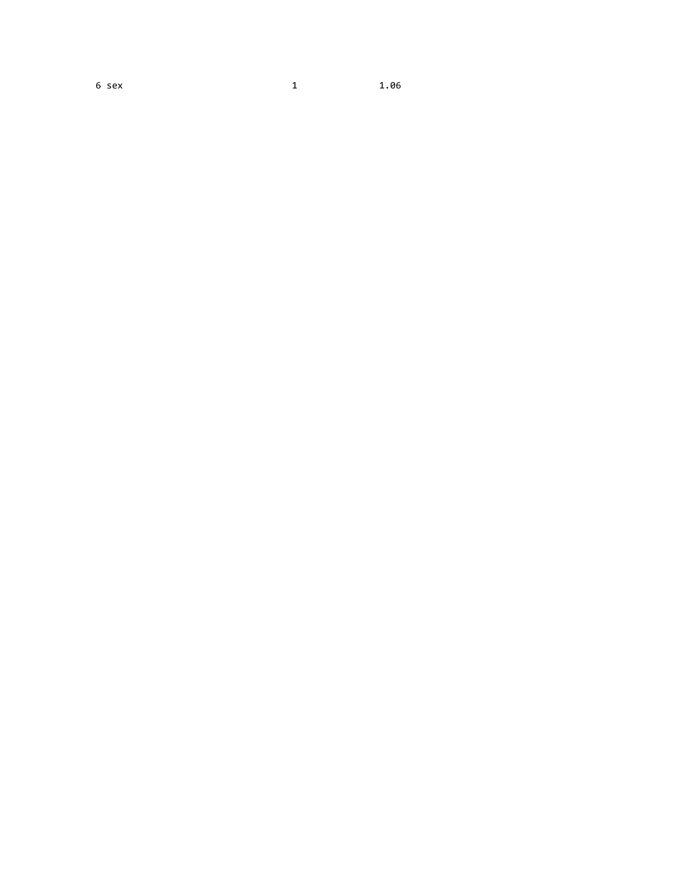6 sex 1 1.06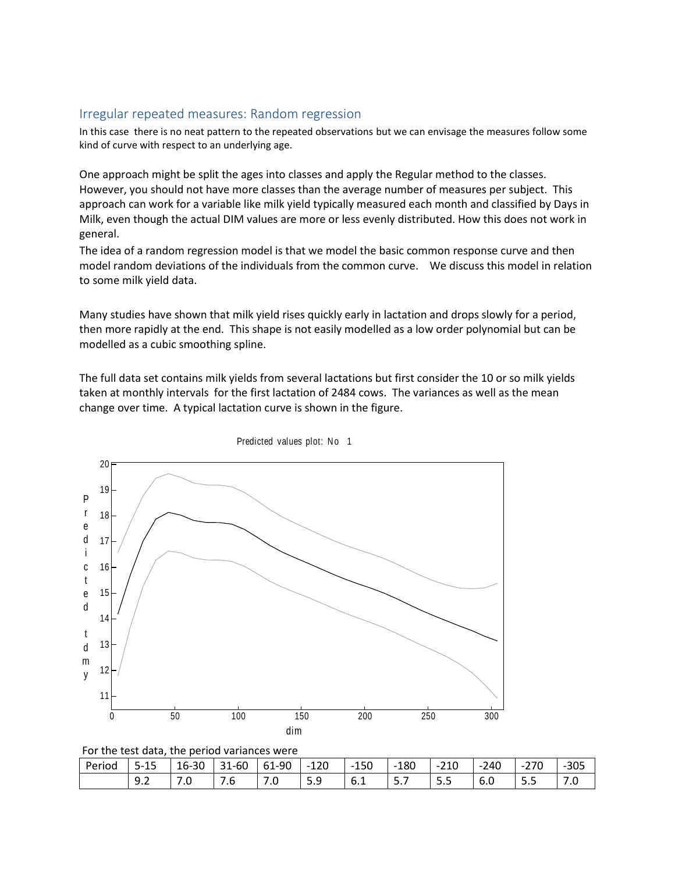## Irregular repeated measures: Random regression

In this case there is no neat pattern to the repeated observations but we can envisage the measures follow some kind of curve with respect to an underlying age.

One approach might be split the ages into classes and apply the Regular method to the classes. However, you should not have more classes than the average number of measures per subject. This approach can work for a variable like milk yield typically measured each month and classified by Days in Milk, even though the actual DIM values are more or less evenly distributed. How this does not work in general.

The idea of a random regression model is that we model the basic common response curve and then model random deviations of the individuals from the common curve. We discuss this model in relation to some milk yield data.

Many studies have shown that milk yield rises quickly early in lactation and drops slowly for a period, then more rapidly at the end. This shape is not easily modelled as a low order polynomial but can be modelled as a cubic smoothing spline.

The full data set contains milk yields from several lactations but first consider the 10 or so milk yields taken at monthly intervals for the first lactation of 2484 cows. The variances as well as the mean change over time. A typical lactation curve is shown in the figure.





| Perioa | $\overline{\phantom{0}}$<br>$\sim$ $\sim$<br>-כ<br>-- | $\sim$<br>$\overline{a}$<br>16-30 | -60<br>$\mathbf{a}$<br>⊥ ت                                  | $-90$<br>61 | $-120$<br>$\overline{\phantom{0}}$ | 150<br>$\overline{\phantom{0}}$ | 180<br>$\overline{\phantom{0}}$ | $-210$                            | $-240$                          | $\sim$ $\sim$<br>$\overline{\phantom{a}}$<br>∙∠ / ∪ | $-305$  |
|--------|-------------------------------------------------------|-----------------------------------|-------------------------------------------------------------|-------------|------------------------------------|---------------------------------|---------------------------------|-----------------------------------|---------------------------------|-----------------------------------------------------|---------|
|        | -<br>ч<br>J.L                                         | -<br>$\cdot\cdot$                 | $\overline{\phantom{0}}$<br>$\overline{\phantom{a}}$<br>7.6 | .u          | $\epsilon$<br>╰<br>ت. ب            | $\overline{\phantom{a}}$<br>b.1 | $\overline{\phantom{0}}$<br>J., | $\overline{\phantom{0}}$<br>-<br> | $\overline{\phantom{a}}$<br>b.U | -<br>-                                              | -<br>.U |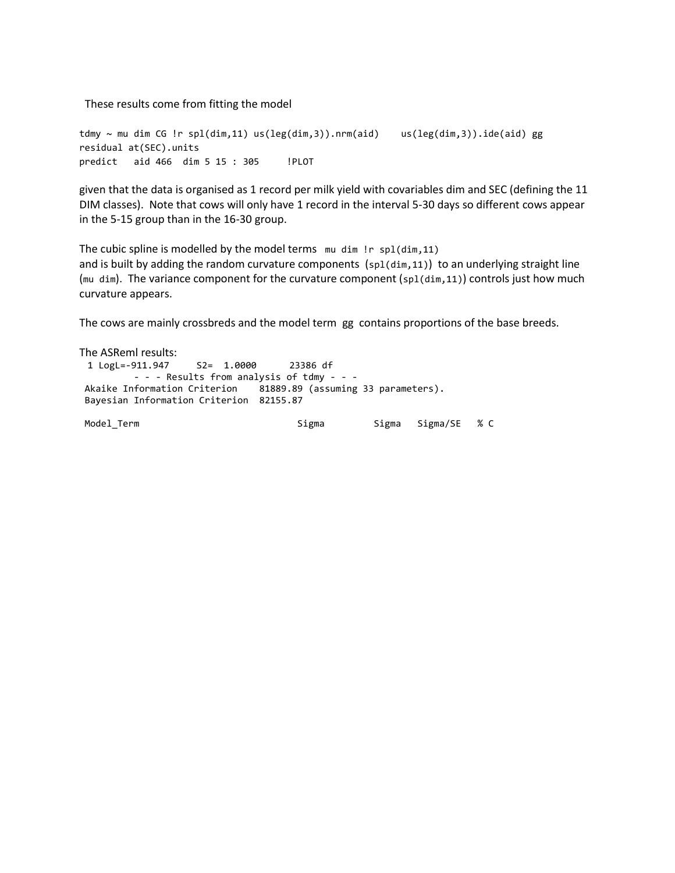These results come from fitting the model

```
tdmy ~ mu dim CG !r spl(dim,11) us(leg(dim,3)).nrm(aid) us(leg(dim,3)).ide(aid) gg
residual at(SEC).units
predict aid 466 dim 5 15 : 305 !PLOT
```
given that the data is organised as 1 record per milk yield with covariables dim and SEC (defining the 11 DIM classes). Note that cows will only have 1 record in the interval 5-30 days so different cows appear in the 5-15 group than in the 16-30 group.

The cubic spline is modelled by the model terms mu dim !r spl(dim,11) and is built by adding the random curvature components (sp1(dim, 11)) to an underlying straight line (mu dim). The variance component for the curvature component ( $spl(dim,11)$ ) controls just how much curvature appears.

The cows are mainly crossbreds and the model term gg contains proportions of the base breeds.

The ASReml results: 1 LogL=-911.947 S2= 1.0000 23386 df - - - Results from analysis of tdmy - - - Akaike Information Criterion 81889.89 (assuming 33 parameters). Bayesian Information Criterion 82155.87 Model\_Term Sigma Sigma Sigma/SE % C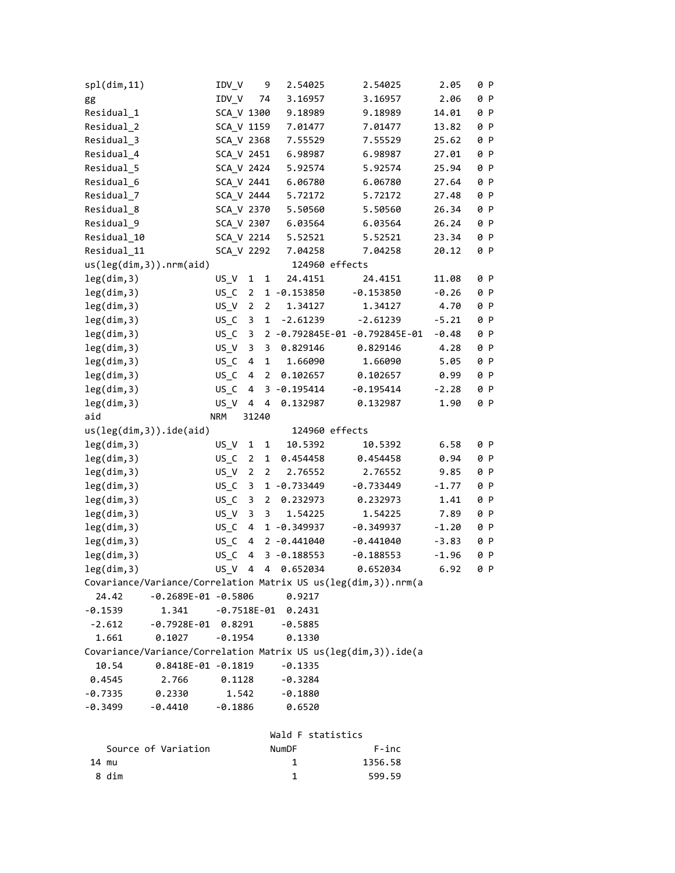| spl(dim,11) |                             | IDV_V      |                | 9              | 2.54025                | 2.54025                                                         | 2.05    | 0 P |  |
|-------------|-----------------------------|------------|----------------|----------------|------------------------|-----------------------------------------------------------------|---------|-----|--|
| gg          |                             | IDV_V      | 74             |                | 3.16957                | 3.16957                                                         | 2.06    | 0 P |  |
| Residual 1  |                             | SCA_V 1300 |                |                | 9.18989                | 9.18989                                                         | 14.01   | 0 P |  |
| Residual_2  |                             | SCA_V 1159 |                |                | 7.01477                | 7.01477                                                         | 13.82   | 0 P |  |
| Residual_3  |                             | SCA_V 2368 |                |                | 7.55529                | 7.55529                                                         | 25.62   | 0 P |  |
| Residual_4  |                             | SCA_V 2451 |                |                | 6.98987                | 6.98987                                                         | 27.01   | 0 P |  |
| Residual_5  |                             | SCA_V 2424 |                |                | 5.92574                | 5.92574                                                         | 25.94   | 0 P |  |
| Residual_6  |                             | SCA_V 2441 |                |                | 6.06780                | 6.06780                                                         | 27.64   | 0 P |  |
| Residual_7  |                             | SCA_V 2444 |                |                | 5.72172                | 5.72172                                                         | 27.48   | 0 P |  |
| Residual_8  |                             | SCA_V 2370 |                |                | 5.50560                | 5.50560                                                         | 26.34   | 0 P |  |
| Residual_9  |                             | SCA_V 2307 |                |                | 6.03564                | 6.03564                                                         | 26.24   | 0 P |  |
| Residual_10 |                             | SCA_V 2214 |                |                | 5.52521                | 5.52521                                                         | 23.34   | 0 P |  |
| Residual_11 |                             | SCA_V 2292 |                |                | 7.04258                | 7.04258                                                         | 20.12   | 0 P |  |
|             | us(leg(dim, 3)) . nrm(aiid) |            |                |                | 124960 effects         |                                                                 |         |     |  |
| leg(dim,3)  |                             | $US_{N}$   | $\mathbf{1}$   | 1              | 24.4151                | 24.4151                                                         | 11.08   | 0 P |  |
| leg(dim,3)  |                             | $US_C$     | $\overline{2}$ |                | 1 -0.153850            | $-0.153850$                                                     | $-0.26$ | 0 P |  |
| leg(dim,3)  |                             | US_V       | $\overline{2}$ | $\overline{2}$ | 1.34127                | 1.34127                                                         | 4.70    | 0 P |  |
| leg(dim,3)  |                             | $US_C$     | 3              | 1              | $-2.61239$             | $-2.61239$                                                      | $-5.21$ | 0 P |  |
| leg(dim,3)  |                             | $US_C$     | 3              |                |                        | 2 -0.792845E-01 -0.792845E-01                                   | $-0.48$ | 0 P |  |
| leg(dim,3)  |                             | $US_{V}$   | 3              | 3              | 0.829146               | 0.829146                                                        | 4.28    | 0 P |  |
| leg(dim,3)  |                             | $US_C$     | 4              | 1              | 1.66090                | 1.66090                                                         | 5.05    | 0 P |  |
| leg(dim,3)  |                             | $US_C$     | 4              | $\overline{2}$ | 0.102657               | 0.102657                                                        | 0.99    | 0 P |  |
| leg(dim,3)  |                             | $US_C$     | 4              |                | $3 - 0.195414$         | $-0.195414$                                                     | $-2.28$ | 0 P |  |
| leg(dim,3)  |                             | $US_{N}$   | 4              | 4              | 0.132987               | 0.132987                                                        | 1.90    | 0 P |  |
| aid         |                             | <b>NRM</b> | 31240          |                |                        |                                                                 |         |     |  |
|             | $us(leg(dim, 3))$ .ide(aid) |            |                |                | 124960 effects         |                                                                 |         |     |  |
| leg(dim,3)  |                             | US_V       | 1              | 1              | 10.5392                | 10.5392                                                         | 6.58    | 0 P |  |
| leg(dim,3)  |                             | $US_C$     | $\overline{2}$ | 1              | 0.454458               | 0.454458                                                        | 0.94    | 0 P |  |
| leg(dim,3)  |                             | US_V       | $\overline{2}$ | $\overline{2}$ | 2.76552                | 2.76552                                                         | 9.85    | 0 P |  |
| leg(dim,3)  |                             | $US_C$     | 3              |                | 1 -0.733449            | $-0.733449$                                                     | $-1.77$ | 0 P |  |
| leg(dim,3)  |                             | $US_C$     | 3              | $\overline{2}$ | 0.232973               | 0.232973                                                        | 1.41    | 0 P |  |
| leg(dim,3)  |                             | US V       | 3              | 3              | 1.54225                | 1.54225                                                         | 7.89    | 0 P |  |
| leg(dim,3)  |                             | $US_C$     | 4              |                | 1 -0.349937            | $-0.349937$                                                     | $-1.20$ | 0 P |  |
| leg(dim,3)  |                             | US C       | 4              |                | $2 - 0.441040$         | $-0.441040$                                                     | $-3.83$ | 0 P |  |
| leg(dim,3)  |                             | US C       | 4              |                | $3 - 0.188553$         | $-0.188553$                                                     | $-1.96$ | 0 P |  |
| leg(dim,3)  |                             | $US_{N}$   | 4              | $\overline{4}$ | 0.652034               | 0.652034                                                        | 6.92    | 0 P |  |
|             |                             |            |                |                |                        | Covariance/Variance/Correlation Matrix US us(leg(dim, 3)).nrm(a |         |     |  |
| 24.42       | $-0.2689E - 01 - 0.5806$    |            |                |                | 0.9217                 |                                                                 |         |     |  |
| $-0.1539$   | 1.341                       |            |                |                | $-0.7518E - 01$ 0.2431 |                                                                 |         |     |  |
| $-2.612$    | $-0.7928E - 01$ 0.8291      |            |                |                | $-0.5885$              |                                                                 |         |     |  |
| 1.661       | 0.1027                      | $-0.1954$  |                |                | 0.1330                 |                                                                 |         |     |  |
|             |                             |            |                |                |                        | Covariance/Variance/Correlation Matrix US us(leg(dim, 3)).ide(a |         |     |  |
| 10.54       | $0.8418E - 01 - 0.1819$     |            |                |                | $-0.1335$              |                                                                 |         |     |  |
| 0.4545      | 2.766                       | 0.1128     |                |                | $-0.3284$              |                                                                 |         |     |  |
| $-0.7335$   | 0.2330                      | 1.542      |                |                | $-0.1880$              |                                                                 |         |     |  |
| $-0.3499$   | $-0.4410$                   | $-0.1886$  |                |                | 0.6520                 |                                                                 |         |     |  |
|             |                             |            |                |                |                        |                                                                 |         |     |  |
|             |                             |            |                |                | Wald F statistics      |                                                                 |         |     |  |
|             | Source of Variation         |            |                |                | NumDF                  | F-inc                                                           |         |     |  |
| 14 mu       |                             |            |                |                | 1                      | 1356.58                                                         |         |     |  |
| 8 dim       |                             |            |                |                | 1                      | 599.59                                                          |         |     |  |
|             |                             |            |                |                |                        |                                                                 |         |     |  |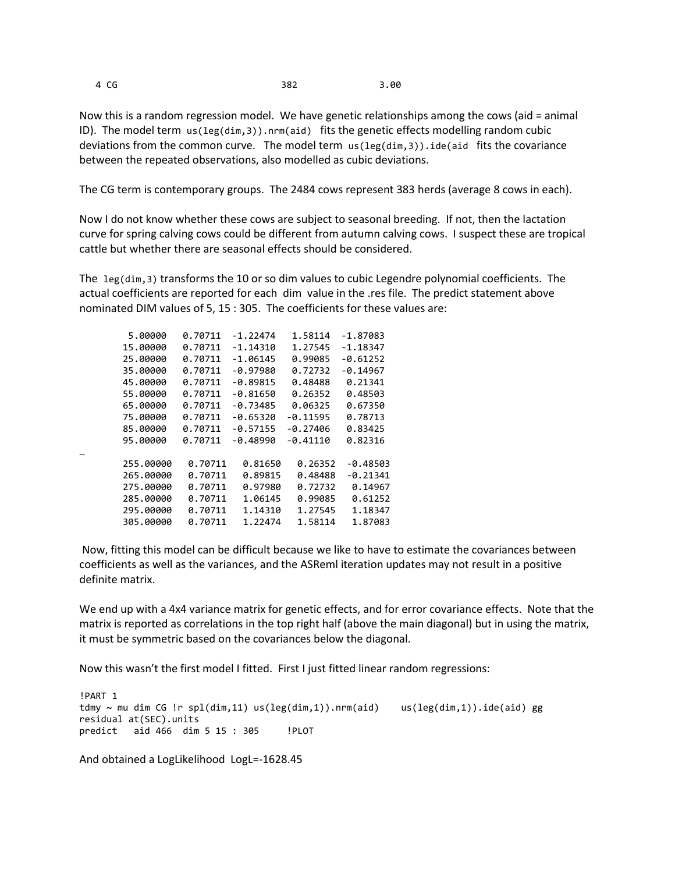…

4 CG 382 3.00

Now this is a random regression model. We have genetic relationships among the cows (aid = animal ID). The model term us(leg(dim,3)).nrm(aid) fits the genetic effects modelling random cubic deviations from the common curve. The model term us(leg(dim,3)).ide(aid fits the covariance between the repeated observations, also modelled as cubic deviations.

The CG term is contemporary groups. The 2484 cows represent 383 herds (average 8 cows in each).

Now I do not know whether these cows are subject to seasonal breeding. If not, then the lactation curve for spring calving cows could be different from autumn calving cows. I suspect these are tropical cattle but whether there are seasonal effects should be considered.

The leg(dim,3) transforms the 10 or so dim values to cubic Legendre polynomial coefficients. The actual coefficients are reported for each dim value in the .res file. The predict statement above nominated DIM values of 5, 15 : 305. The coefficients for these values are:

| 5.00000   | 0.70711 | $-1.22474$ | 1.58114    | $-1.87083$ |
|-----------|---------|------------|------------|------------|
| 15,00000  | 0.70711 | -1.14310   | 1.27545    | -1.18347   |
| 25,00000  | 0.70711 | $-1.06145$ | 0.99085    | $-0.61252$ |
| 35,00000  | 0.70711 | $-0.97980$ | 0.72732    | $-0.14967$ |
| 45.00000  | 0.70711 | $-0.89815$ | 0.48488    | 0.21341    |
| 55.00000  | 0.70711 | $-0.81650$ | 0.26352    | 0.48503    |
| 65.00000  | 0.70711 | $-0.73485$ | 0.06325    | 0.67350    |
| 75.00000  | 0.70711 | $-0.65320$ | $-0.11595$ | 0.78713    |
| 85.00000  | 0.70711 | $-0.57155$ | -0.27406   | 0.83425    |
| 95.00000  | 0.70711 | $-0.48990$ | -0.41110   | 0.82316    |
|           |         |            |            |            |
| 255,00000 | 0.70711 | 0.81650    | 0.26352    | $-0.48503$ |
| 265,00000 | 0.70711 | 0.89815    | 0.48488    | $-0.21341$ |
| 275.00000 | 0.70711 | 0.97980    | 0.72732    | 0.14967    |
| 285,00000 | 0.70711 | 1.06145    | 0.99085    | 0.61252    |
| 295,00000 | 0.70711 | 1.14310    | 1.27545    | 1.18347    |
| 305.00000 | 0.70711 | 1.22474    | 1.58114    | 1.87083    |
|           |         |            |            |            |

Now, fitting this model can be difficult because we like to have to estimate the covariances between coefficients as well as the variances, and the ASReml iteration updates may not result in a positive definite matrix.

We end up with a 4x4 variance matrix for genetic effects, and for error covariance effects. Note that the matrix is reported as correlations in the top right half (above the main diagonal) but in using the matrix, it must be symmetric based on the covariances below the diagonal.

Now this wasn't the first model I fitted. First I just fitted linear random regressions:

!PART 1 tdmy ~ mu dim CG !r spl(dim,11) us(leg(dim,1)).nrm(aid) us(leg(dim,1)).ide(aid) gg residual at(SEC).units predict aid 466 dim 5 15 : 305 !PLOT

And obtained a LogLikelihood LogL=-1628.45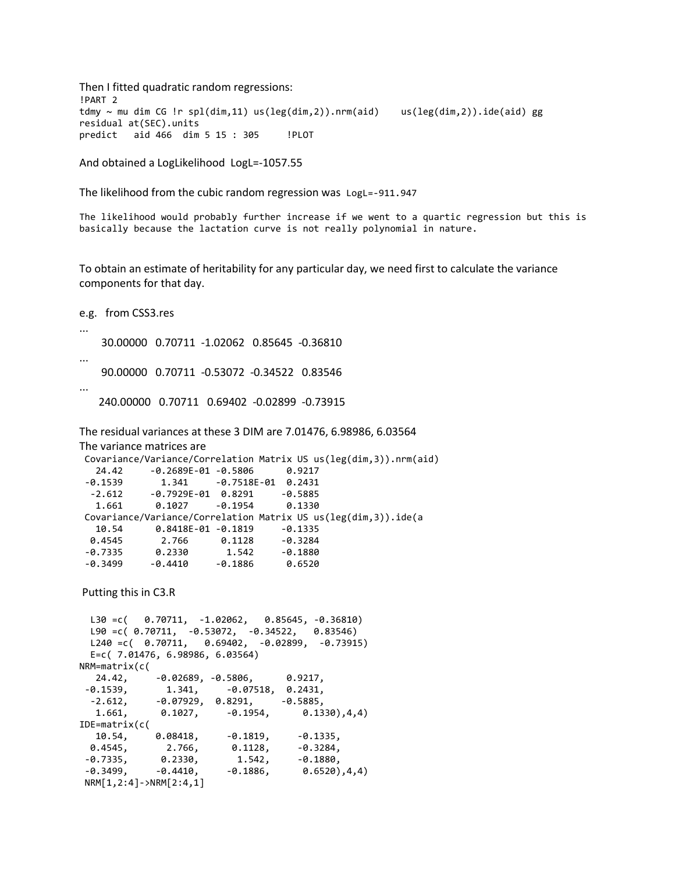Then I fitted quadratic random regressions: !PART 2 tdmy ~ mu dim CG !r spl(dim,11) us(leg(dim,2)).nrm(aid) us(leg(dim,2)).ide(aid) gg residual at(SEC).units predict aid 466 dim 5 15 : 305 !PLOT

And obtained a LogLikelihood LogL=-1057.55

The likelihood from the cubic random regression was LogL=-911.947

The likelihood would probably further increase if we went to a quartic regression but this is basically because the lactation curve is not really polynomial in nature.

To obtain an estimate of heritability for any particular day, we need first to calculate the variance components for that day.

e.g. from CSS3.res ... 30.00000 0.70711 -1.02062 0.85645 -0.36810 ... 90.00000 0.70711 -0.53072 -0.34522 0.83546 ... 240.00000 0.70711 0.69402 -0.02899 -0.73915 The residual variances at these 3 DIM are 7.01476, 6.98986, 6.03564 The variance matrices are Covariance/Variance/Correlation Matrix US us(leg(dim,3)).nrm(aid) 24.42 -0.2689E-01 -0.5806 0.9217 -0.1539 1.341 -0.7518E-01 0.2431 -2.612 -0.7929E-01 0.8291 -0.5885 1.661 0.1027 -0.1954 0.1330 Covariance/Variance/Correlation Matrix US us(leg(dim,3)).ide(a 10.54 0.8418E-01 -0.1819 -0.1335 0.4545 2.766 0.1128 -0.3284 -0.7335 0.2330 1.542 -0.1880 -0.3499 -0.4410 -0.1886 0.6520 Putting this in C3.R L30 =c( 0.70711, -1.02062, 0.85645, -0.36810) L90 =c( 0.70711, -0.53072, -0.34522, 0.83546)

L240 =c( 0.70711, 0.69402, -0.02899, -0.73915) E=c( 7.01476, 6.98986, 6.03564) NRM=matrix( $c($ <br>24.42, 24.42, -0.02689, -0.5806, 0.9217,<br>-0.1539, 1.341, -0.07518, 0.2431, -0.1539, 1.341, -0.07518, 0.2431,  $-2.612, -0.07929, 0.8291, -0.5885,$  1.661, 0.1027, -0.1954, 0.1330),4,4) IDE=matrix(c( 10.54, 0.08418, -0.1819, -0.1335, 0.4545, 2.766, 0.1128, -0.3284, -0.7335, 0.2330, 1.542, -0.1880,  $-0.3499, -0.4410, -0.1886, 0.6520), 4, 4)$ NRM[1,2:4]->NRM[2:4,1]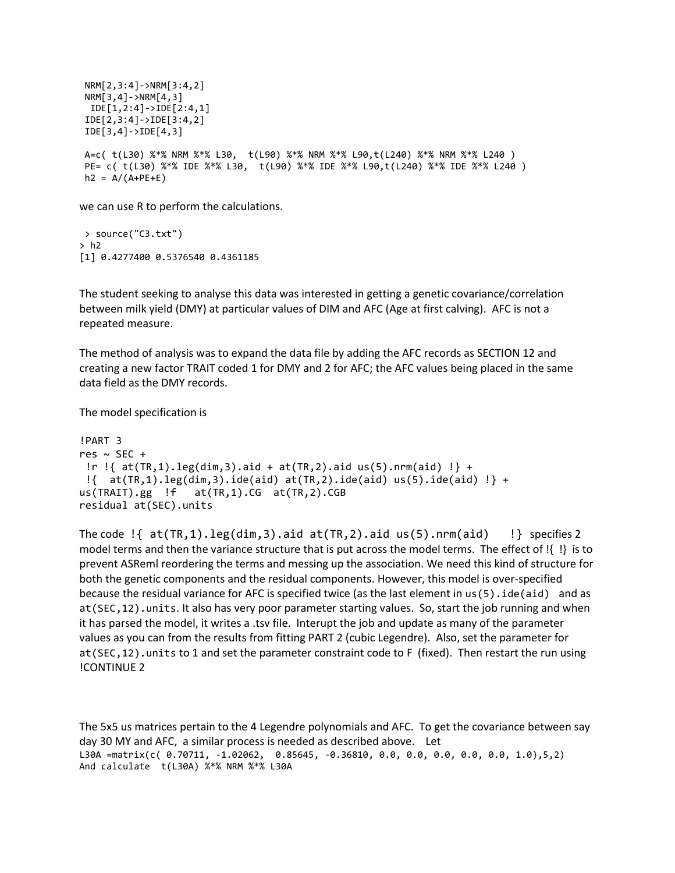```
NRM[2,3:4]->NRM[3:4,2]
NRM[3,4]->NRM[4,3]
 IDE[1,2:4]->IDE[2:4,1]
IDE[2,3:4]->IDE[3:4,2]
IDE[3,4]->IDE[4,3]
A=c( t(L30) %*% NRM %*% L30, t(L90) %*% NRM %*% L90,t(L240) %*% NRM %*% L240 )
PE= c( t(L30) %*% IDE %*% L30, t(L90) %*% IDE %*% L90,t(L240) %*% IDE %*% L240 )
h2 = A/(A+PE+E)
```
we can use R to perform the calculations.

> source("C3.txt")  $> h2$ [1] 0.4277400 0.5376540 0.4361185

The student seeking to analyse this data was interested in getting a genetic covariance/correlation between milk yield (DMY) at particular values of DIM and AFC (Age at first calving). AFC is not a repeated measure.

The method of analysis was to expand the data file by adding the AFC records as SECTION 12 and creating a new factor TRAIT coded 1 for DMY and 2 for AFC; the AFC values being placed in the same data field as the DMY records.

The model specification is

```
!PART 3
res \sim SEC +
!r !{ at(TR,1).leg(dim,3).aid + at(TR,2).aid us(5).nrm(aid) !} +
\{\} at(TR,1).leg(dim,3).ide(aid) at(TR,2).ide(aid) us(5).ide(aid) \} +
us(TRAIT).gg !f at(TR,1).CG at(TR,2).CGB
residual at(SEC).units
```
The code  $\{\}$  at(TR,1).leg(dim,3).aid at(TR,2).aid us(5).nrm(aid)  $\}$  specifies 2 model terms and then the variance structure that is put across the model terms. The effect of !{ !} is to prevent ASReml reordering the terms and messing up the association. We need this kind of structure for both the genetic components and the residual components. However, this model is over-specified because the residual variance for AFC is specified twice (as the last element in us(5).ide(aid) and as at(SEC,12).units. It also has very poor parameter starting values. So, start the job running and when it has parsed the model, it writes a .tsv file. Interupt the job and update as many of the parameter values as you can from the results from fitting PART 2 (cubic Legendre). Also, set the parameter for at(SEC,12).units to 1 and set the parameter constraint code to F (fixed). Then restart the run using !CONTINUE 2

The 5x5 us matrices pertain to the 4 Legendre polynomials and AFC. To get the covariance between say day 30 MY and AFC, a similar process is needed as described above. Let L30A =matrix(c( 0.70711, -1.02062, 0.85645, -0.36810, 0.0, 0.0, 0.0, 0.0, 0.0, 1.0),5,2) And calculate t(L30A) %\*% NRM %\*% L30A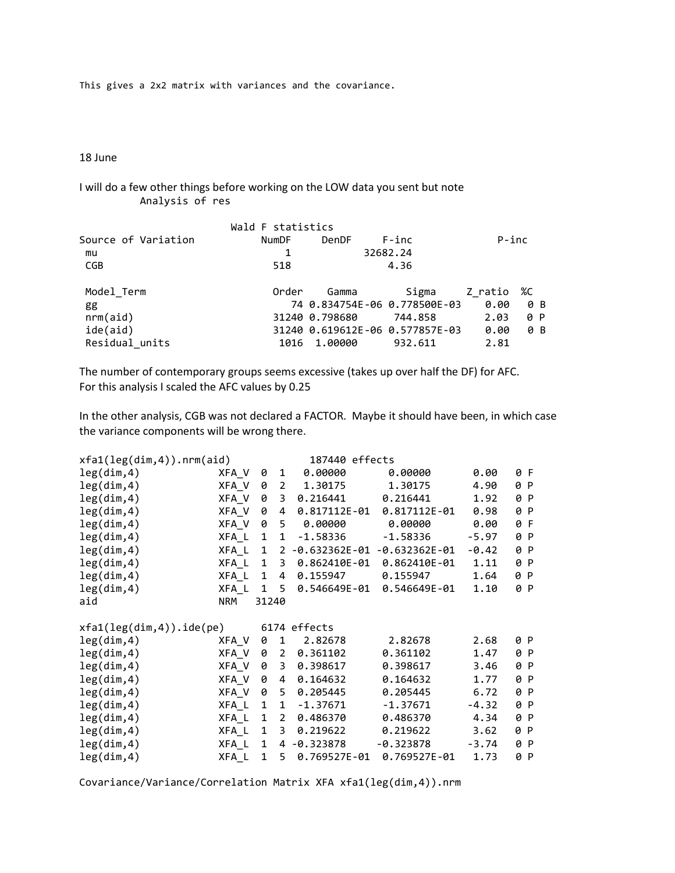This gives a 2x2 matrix with variances and the covariance.

18 June

I will do a few other things before working on the LOW data you sent but note Analysis of res

|                     | Wald F statistics |                |                                 |          |     |
|---------------------|-------------------|----------------|---------------------------------|----------|-----|
| Source of Variation | <b>NumDF</b>      | <b>DenDF</b>   | F-inc                           | $P$ -inc |     |
| mu                  |                   |                | 32682.24                        |          |     |
| <b>CGB</b>          | 518               |                | 4.36                            |          |     |
| Model Term          | Order             | Gamma          | Sigma                           | Z ratio  | %C  |
| gg                  |                   |                | 74 0.834754E-06 0.778500E-03    | 0.00     | 0 B |
| nrm(ai)d)           |                   | 31240 0.798680 | 744.858                         | 2.03     | 0 P |
| ide(aid)            |                   |                | 31240 0.619612E-06 0.577857E-03 | 0.00     | 0 B |
| Residual units      | 1016              | 1.00000        | 932.611                         | 2.81     |     |

The number of contemporary groups seems excessive (takes up over half the DF) for AFC. For this analysis I scaled the AFC values by 0.25

In the other analysis, CGB was not declared a FACTOR. Maybe it should have been, in which case the variance components will be wrong there.

| xfa1(leg(dim,4)) . nrm(aid) |       |              |                | 187440 effects |                               |         |     |     |
|-----------------------------|-------|--------------|----------------|----------------|-------------------------------|---------|-----|-----|
| leg(dim,4)                  | XFA_V | 0            | 1              | 0.00000        | 0.00000                       | 0.00    |     | 0 F |
| leg(dim,4)                  | XFA_V | 0            | $\overline{2}$ | 1.30175        | 1.30175                       | 4.90    |     | 0 P |
| leg(dim,4)                  | XFA V | 0            | 3              | 0.216441       | 0.216441                      | 1.92    |     | 0 P |
| leg(dim,4)                  | XFA V | 0            | 4              | 0.817112E-01   | $0.817112E - 01$              | 0.98    |     | 0 P |
| leg(dim, 4)                 | XFA V | 0            | 5              | 0.00000        | 0.00000                       | 0.00    | 0 F |     |
| leg(dim,4)                  | XFA_L | 1            | $\mathbf{1}$   | $-1.58336$     | $-1.58336$                    | -5.97   |     | 0 P |
| leg(dim,4)                  | XFA L | $\mathbf{1}$ |                |                | 2 -0.632362E-01 -0.632362E-01 | -0.42   |     | 0 P |
| leg(dim, 4)                 | XFA_L | $\mathbf{1}$ | 3              | 0.862410E-01   | 0.862410E-01                  | 1.11    | 0 P |     |
| leg(dim,4)                  | XFA L | 1            | 4              | 0.155947       | 0.155947                      | 1.64    | 0 P |     |
| leg(dim,4)                  | XFA L | $\mathbf{1}$ | 5              | 0.546649E-01   | 0.546649E-01                  | 1.10    |     | 0 P |
| aid                         | NRM   | 31240        |                |                |                               |         |     |     |
| $xfa1(leg(dim,4))$ .ide(pe) |       |              |                | 6174 effects   |                               |         |     |     |
| leg(dim,4)                  | XFA_V | 0            | 1              | 2.82678        | 2.82678                       | 2.68    |     | 0 P |
| leg(dim,4)                  | XFA_V | 0            | $\overline{2}$ | 0.361102       | 0.361102                      | 1.47    |     | 0 P |
| leg(dim,4)                  | XFA_V | 0            | 3              | 0.398617       | 0.398617                      | 3.46    |     | 0 P |
| leg(dim,4)                  | XFA V | 0            | 4              | 0.164632       | 0.164632                      | 1.77    | 0 P |     |
| leg(dim,4)                  | XFA V | 0            | 5              | 0.205445       | 0.205445                      | 6.72    |     | 0 P |
| leg(dim,4)                  | XFA_L | 1            | $\mathbf{1}$   | $-1.37671$     | $-1.37671$                    | $-4.32$ |     | 0 P |
| leg(dim,4)                  | XFA_L | $\mathbf{1}$ | $\overline{2}$ | 0.486370       | 0.486370                      | 4.34    |     | 0 P |
| leg(dim,4)                  | XFA L | $\mathbf{1}$ | 3              | 0.219622       | 0.219622                      | 3.62    | 0 P |     |
| leg(dim, 4)                 | XFA L | $\mathbf{1}$ | 4              | $-0.323878$    | $-0.323878$                   | $-3.74$ |     | 0 P |
| leg(dim,4)                  | XFA L | $\mathbf{1}$ | 5.             | 0.769527E-01   | 0.769527E-01                  | 1.73    |     | 0 P |

Covariance/Variance/Correlation Matrix XFA xfa1(leg(dim,4)).nrm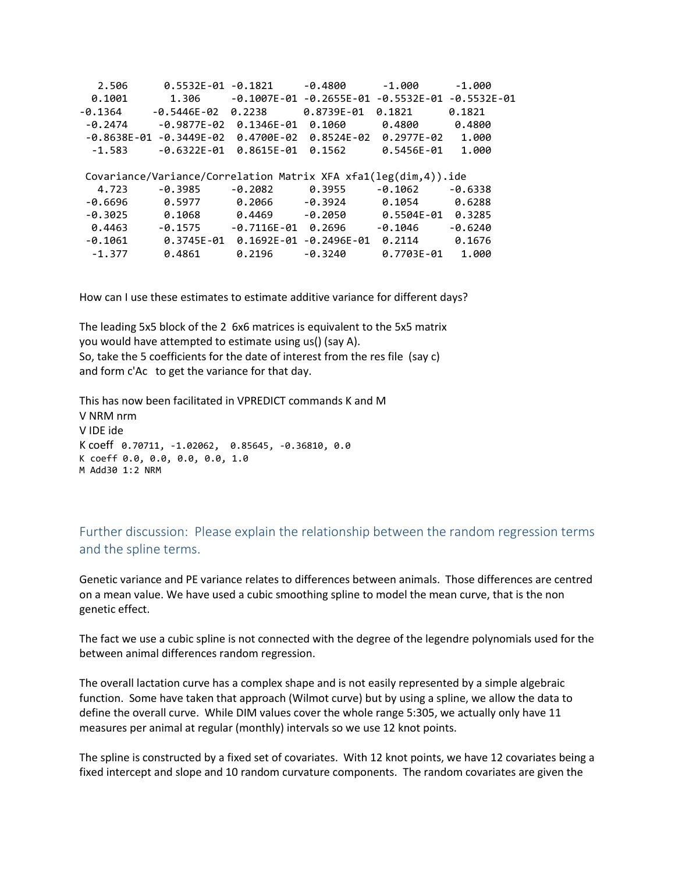| 0.5532E-01                       | $-0.1821$      | $-0.4800$                   | $-1.000$                        | $-1.000$                                                                            |
|----------------------------------|----------------|-----------------------------|---------------------------------|-------------------------------------------------------------------------------------|
| 1.306                            |                | $-0.2655E - 01$             |                                 | $-0.5532E - 01$                                                                     |
| $-0.5446E - 02$                  | 0.2238         | 0.8739E-01                  | 0.1821                          | 0.1821                                                                              |
| $-0.9877E - 02$                  | $0.1346E - 01$ | 0.1060                      | 0.4800                          | 0.4800                                                                              |
| $-0.8638E-01$<br>$-0.3449E - 02$ |                | 0.8524E-02                  | $0.2977E - 02$                  | 1.000                                                                               |
| $-0.6322E - 01$                  | 0.8615E-01     | 0.1562                      | 0.5456E-01                      | 1.000                                                                               |
|                                  |                |                             |                                 |                                                                                     |
|                                  |                |                             |                                 |                                                                                     |
| $-0.3985$                        | $-0.2082$      | 0.3955                      | $-0.1062$                       | $-0.6338$                                                                           |
| 0.5977                           | 0.2066         | $-0.3924$                   | 0.1054                          | 0.6288                                                                              |
| 0.1068                           | 0.4469         | $-0.2050$                   | 0.5504E-01                      | 0.3285                                                                              |
| $-0.1575$                        |                | 0.2696                      | $-0.1046$                       | $-0.6240$                                                                           |
| 0.3745E-01                       |                | $-0.2496E - 01$             | 0.2114                          | 0.1676                                                                              |
|                                  |                |                             |                                 |                                                                                     |
|                                  |                | 0.4700E-02<br>$-0.7116E-01$ | $-0.1007E-01$<br>$0.1692E - 01$ | $-0.5532E-01$<br>Covariance/Variance/Correlation Matrix XFA $xfa1(leg(dim,4))$ .ide |

How can I use these estimates to estimate additive variance for different days?

The leading 5x5 block of the 2 6x6 matrices is equivalent to the 5x5 matrix you would have attempted to estimate using us() (say A). So, take the 5 coefficients for the date of interest from the res file (say c) and form c'Ac to get the variance for that day.

This has now been facilitated in VPREDICT commands K and M V NRM nrm V IDE ide K coeff 0.70711, -1.02062, 0.85645, -0.36810, 0.0 K coeff 0.0, 0.0, 0.0, 0.0, 1.0 M Add30 1:2 NRM

Further discussion: Please explain the relationship between the random regression terms and the spline terms.

Genetic variance and PE variance relates to differences between animals. Those differences are centred on a mean value. We have used a cubic smoothing spline to model the mean curve, that is the non genetic effect.

The fact we use a cubic spline is not connected with the degree of the legendre polynomials used for the between animal differences random regression.

The overall lactation curve has a complex shape and is not easily represented by a simple algebraic function. Some have taken that approach (Wilmot curve) but by using a spline, we allow the data to define the overall curve. While DIM values cover the whole range 5:305, we actually only have 11 measures per animal at regular (monthly) intervals so we use 12 knot points.

The spline is constructed by a fixed set of covariates. With 12 knot points, we have 12 covariates being a fixed intercept and slope and 10 random curvature components. The random covariates are given the